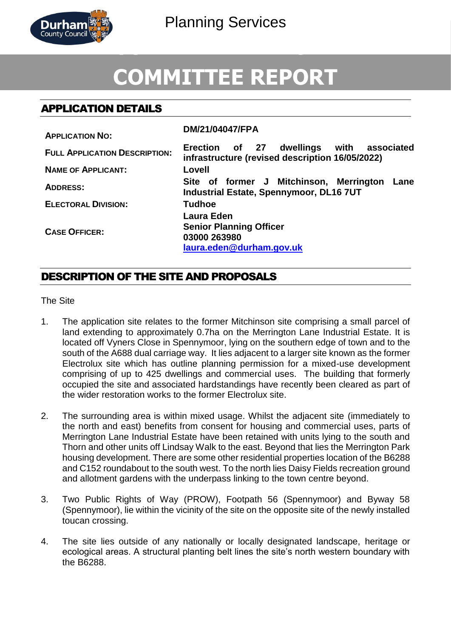

# **COMMITTEE REPORT**

# APPLICATION DETAILS

| <b>APPLICATION NO:</b>               | DM/21/04047/FPA                                                                                      |
|--------------------------------------|------------------------------------------------------------------------------------------------------|
| <b>FULL APPLICATION DESCRIPTION:</b> | Erection of 27<br>dwellings<br>with<br>associated<br>infrastructure (revised description 16/05/2022) |
| <b>NAME OF APPLICANT:</b>            | Lovell                                                                                               |
| <b>ADDRESS:</b>                      | Site of former J Mitchinson, Merrington<br>Lane<br><b>Industrial Estate, Spennymoor, DL16 7UT</b>    |
| <b>ELECTORAL DIVISION:</b>           | <b>Tudhoe</b>                                                                                        |
| <b>CASE OFFICER:</b>                 | <b>Laura Eden</b><br><b>Senior Planning Officer</b><br>03000 263980<br>laura.eden@durham.gov.uk      |

# DESCRIPTION OF THE SITE AND PROPOSALS

The Site

- 1. The application site relates to the former Mitchinson site comprising a small parcel of land extending to approximately 0.7ha on the Merrington Lane Industrial Estate. It is located off Vyners Close in Spennymoor, lying on the southern edge of town and to the south of the A688 dual carriage way. It lies adjacent to a larger site known as the former Electrolux site which has outline planning permission for a mixed-use development comprising of up to 425 dwellings and commercial uses. The building that formerly occupied the site and associated hardstandings have recently been cleared as part of the wider restoration works to the former Electrolux site.
- 2. The surrounding area is within mixed usage. Whilst the adjacent site (immediately to the north and east) benefits from consent for housing and commercial uses, parts of Merrington Lane Industrial Estate have been retained with units lying to the south and Thorn and other units off Lindsay Walk to the east. Beyond that lies the Merrington Park housing development. There are some other residential properties location of the B6288 and C152 roundabout to the south west. To the north lies Daisy Fields recreation ground and allotment gardens with the underpass linking to the town centre beyond.
- 3. Two Public Rights of Way (PROW), Footpath 56 (Spennymoor) and Byway 58 (Spennymoor), lie within the vicinity of the site on the opposite site of the newly installed toucan crossing.
- 4. The site lies outside of any nationally or locally designated landscape, heritage or ecological areas. A structural planting belt lines the site's north western boundary with the B6288.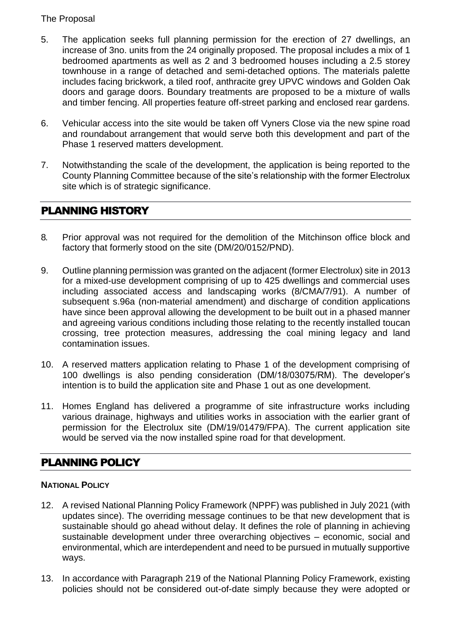#### The Proposal

- 5. The application seeks full planning permission for the erection of 27 dwellings, an increase of 3no. units from the 24 originally proposed. The proposal includes a mix of 1 bedroomed apartments as well as 2 and 3 bedroomed houses including a 2.5 storey townhouse in a range of detached and semi-detached options. The materials palette includes facing brickwork, a tiled roof, anthracite grey UPVC windows and Golden Oak doors and garage doors. Boundary treatments are proposed to be a mixture of walls and timber fencing. All properties feature off-street parking and enclosed rear gardens.
- 6. Vehicular access into the site would be taken off Vyners Close via the new spine road and roundabout arrangement that would serve both this development and part of the Phase 1 reserved matters development.
- 7. Notwithstanding the scale of the development, the application is being reported to the County Planning Committee because of the site's relationship with the former Electrolux site which is of strategic significance.

# PLANNING HISTORY

- 8. Prior approval was not required for the demolition of the Mitchinson office block and factory that formerly stood on the site (DM/20/0152/PND).
- 9. Outline planning permission was granted on the adjacent (former Electrolux) site in 2013 for a mixed-use development comprising of up to 425 dwellings and commercial uses including associated access and landscaping works (8/CMA/7/91). A number of subsequent s.96a (non-material amendment) and discharge of condition applications have since been approval allowing the development to be built out in a phased manner and agreeing various conditions including those relating to the recently installed toucan crossing, tree protection measures, addressing the coal mining legacy and land contamination issues.
- 10. A reserved matters application relating to Phase 1 of the development comprising of 100 dwellings is also pending consideration (DM/18/03075/RM). The developer's intention is to build the application site and Phase 1 out as one development.
- 11. Homes England has delivered a programme of site infrastructure works including various drainage, highways and utilities works in association with the earlier grant of permission for the Electrolux site (DM/19/01479/FPA). The current application site would be served via the now installed spine road for that development.

# PLANNING POLICY

#### **NATIONAL POLICY**

- 12. A revised National Planning Policy Framework (NPPF) was published in July 2021 (with updates since). The overriding message continues to be that new development that is sustainable should go ahead without delay. It defines the role of planning in achieving sustainable development under three overarching objectives – economic, social and environmental, which are interdependent and need to be pursued in mutually supportive ways.
- 13. In accordance with Paragraph 219 of the National Planning Policy Framework, existing policies should not be considered out-of-date simply because they were adopted or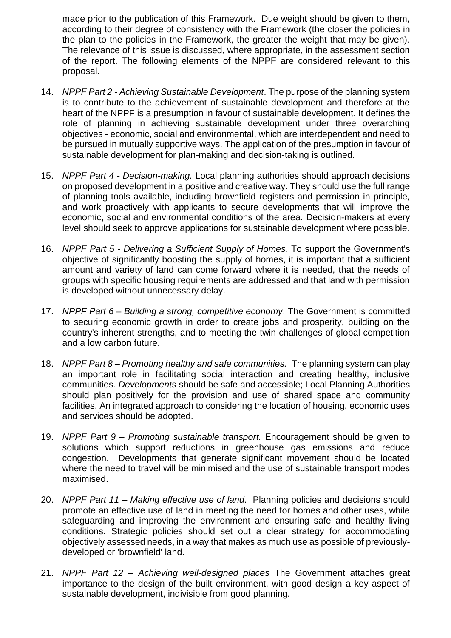made prior to the publication of this Framework. Due weight should be given to them, according to their degree of consistency with the Framework (the closer the policies in the plan to the policies in the Framework, the greater the weight that may be given). The relevance of this issue is discussed, where appropriate, in the assessment section of the report. The following elements of the NPPF are considered relevant to this proposal.

- 14. *NPPF Part 2 - Achieving Sustainable Development*. The purpose of the planning system is to contribute to the achievement of sustainable development and therefore at the heart of the NPPF is a presumption in favour of sustainable development. It defines the role of planning in achieving sustainable development under three overarching objectives - economic, social and environmental, which are interdependent and need to be pursued in mutually supportive ways. The application of the presumption in favour of sustainable development for plan-making and decision-taking is outlined.
- 15. *NPPF Part 4 - Decision-making.* Local planning authorities should approach decisions on proposed development in a positive and creative way. They should use the full range of planning tools available, including brownfield registers and permission in principle, and work proactively with applicants to secure developments that will improve the economic, social and environmental conditions of the area. Decision-makers at every level should seek to approve applications for sustainable development where possible.
- 16. *NPPF Part 5 - Delivering a Sufficient Supply of Homes.* To support the Government's objective of significantly boosting the supply of homes, it is important that a sufficient amount and variety of land can come forward where it is needed, that the needs of groups with specific housing requirements are addressed and that land with permission is developed without unnecessary delay.
- 17. *NPPF Part 6 – Building a strong, competitive economy*. The Government is committed to securing economic growth in order to create jobs and prosperity, building on the country's inherent strengths, and to meeting the twin challenges of global competition and a low carbon future.
- 18. *NPPF Part 8 – Promoting healthy and safe communities.* The planning system can play an important role in facilitating social interaction and creating healthy, inclusive communities. *Developments* should be safe and accessible; Local Planning Authorities should plan positively for the provision and use of shared space and community facilities. An integrated approach to considering the location of housing, economic uses and services should be adopted.
- 19. *NPPF Part 9 – Promoting sustainable transport.* Encouragement should be given to solutions which support reductions in greenhouse gas emissions and reduce congestion. Developments that generate significant movement should be located where the need to travel will be minimised and the use of sustainable transport modes maximised.
- 20. *NPPF Part 11 – Making effective use of land.* Planning policies and decisions should promote an effective use of land in meeting the need for homes and other uses, while safeguarding and improving the environment and ensuring safe and healthy living conditions. Strategic policies should set out a clear strategy for accommodating objectively assessed needs, in a way that makes as much use as possible of previouslydeveloped or 'brownfield' land.
- 21. *NPPF Part 12 – Achieving well-designed places* The Government attaches great importance to the design of the built environment, with good design a key aspect of sustainable development, indivisible from good planning.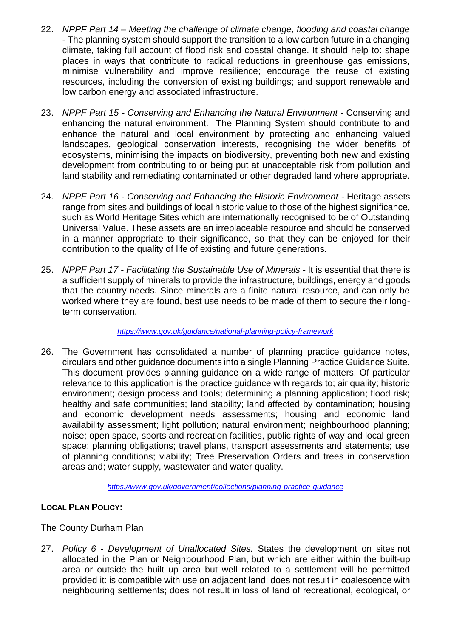- 22. *NPPF Part 14 – Meeting the challenge of climate change, flooding and coastal change -* The planning system should support the transition to a low carbon future in a changing climate, taking full account of flood risk and coastal change. It should help to: shape places in ways that contribute to radical reductions in greenhouse gas emissions, minimise vulnerability and improve resilience; encourage the reuse of existing resources, including the conversion of existing buildings; and support renewable and low carbon energy and associated infrastructure.
- 23. *NPPF Part 15 - Conserving and Enhancing the Natural Environment -* Conserving and enhancing the natural environment. The Planning System should contribute to and enhance the natural and local environment by protecting and enhancing valued landscapes, geological conservation interests, recognising the wider benefits of ecosystems, minimising the impacts on biodiversity, preventing both new and existing development from contributing to or being put at unacceptable risk from pollution and land stability and remediating contaminated or other degraded land where appropriate.
- 24. *NPPF Part 16 - Conserving and Enhancing the Historic Environment -* Heritage assets range from sites and buildings of local historic value to those of the highest significance, such as World Heritage Sites which are internationally recognised to be of Outstanding Universal Value. These assets are an irreplaceable resource and should be conserved in a manner appropriate to their significance, so that they can be enjoyed for their contribution to the quality of life of existing and future generations.
- 25. *NPPF Part 17 - Facilitating the Sustainable Use of Minerals -* It is essential that there is a sufficient supply of minerals to provide the infrastructure, buildings, energy and goods that the country needs. Since minerals are a finite natural resource, and can only be worked where they are found, best use needs to be made of them to secure their longterm conservation.

*<https://www.gov.uk/guidance/national-planning-policy-framework>*

26. The Government has consolidated a number of planning practice guidance notes, circulars and other guidance documents into a single Planning Practice Guidance Suite. This document provides planning guidance on a wide range of matters. Of particular relevance to this application is the practice guidance with regards to; air quality; historic environment; design process and tools; determining a planning application; flood risk; healthy and safe communities; land stability; land affected by contamination; housing and economic development needs assessments; housing and economic land availability assessment; light pollution; natural environment; neighbourhood planning; noise; open space, sports and recreation facilities, public rights of way and local green space; planning obligations; travel plans, transport assessments and statements; use of planning conditions; viability; Tree Preservation Orders and trees in conservation areas and; water supply, wastewater and water quality.

*<https://www.gov.uk/government/collections/planning-practice-guidance>*

#### **LOCAL PLAN POLICY:**

The County Durham Plan

27. *Policy 6 - Development of Unallocated Sites.* States the development on sites not allocated in the Plan or Neighbourhood Plan, but which are either within the built-up area or outside the built up area but well related to a settlement will be permitted provided it: is compatible with use on adjacent land; does not result in coalescence with neighbouring settlements; does not result in loss of land of recreational, ecological, or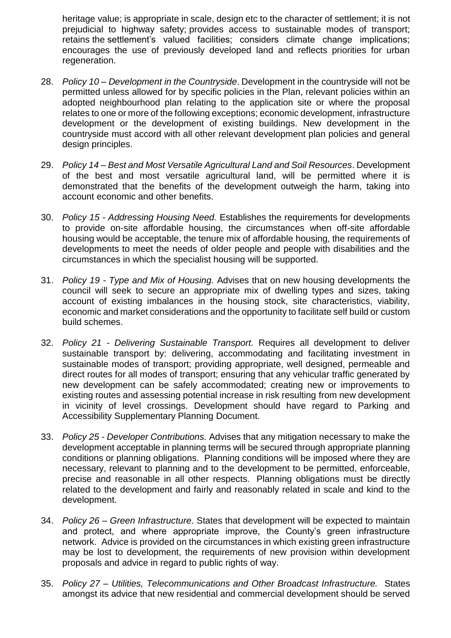heritage value; is appropriate in scale, design etc to the character of settlement; it is not prejudicial to highway safety; provides access to sustainable modes of transport; retains the settlement's valued facilities; considers climate change implications; encourages the use of previously developed land and reflects priorities for urban regeneration.

- 28. *Policy 10 – Development in the Countryside*. Development in the countryside will not be permitted unless allowed for by specific policies in the Plan, relevant policies within an adopted neighbourhood plan relating to the application site or where the proposal relates to one or more of the following exceptions; economic development, infrastructure development or the development of existing buildings. New development in the countryside must accord with all other relevant development plan policies and general design principles.
- 29. *Policy 14 – Best and Most Versatile Agricultural Land and Soil Resources*. Development of the best and most versatile agricultural land, will be permitted where it is demonstrated that the benefits of the development outweigh the harm, taking into account economic and other benefits.
- 30. *Policy 15 - Addressing Housing Need.* Establishes the requirements for developments to provide on-site affordable housing, the circumstances when off-site affordable housing would be acceptable, the tenure mix of affordable housing, the requirements of developments to meet the needs of older people and people with disabilities and the circumstances in which the specialist housing will be supported.
- 31. *Policy 19 - Type and Mix of Housing.* Advises that on new housing developments the council will seek to secure an appropriate mix of dwelling types and sizes, taking account of existing imbalances in the housing stock, site characteristics, viability, economic and market considerations and the opportunity to facilitate self build or custom build schemes.
- 32. *Policy 21 - Delivering Sustainable Transport.* Requires all development to deliver sustainable transport by: delivering, accommodating and facilitating investment in sustainable modes of transport; providing appropriate, well designed, permeable and direct routes for all modes of transport; ensuring that any vehicular traffic generated by new development can be safely accommodated; creating new or improvements to existing routes and assessing potential increase in risk resulting from new development in vicinity of level crossings. Development should have regard to Parking and Accessibility Supplementary Planning Document.
- 33. *Policy 25 - Developer Contributions.* Advises that any mitigation necessary to make the development acceptable in planning terms will be secured through appropriate planning conditions or planning obligations. Planning conditions will be imposed where they are necessary, relevant to planning and to the development to be permitted, enforceable, precise and reasonable in all other respects. Planning obligations must be directly related to the development and fairly and reasonably related in scale and kind to the development.
- 34. *Policy 26 – Green Infrastructure*. States that development will be expected to maintain and protect, and where appropriate improve, the County's green infrastructure network. Advice is provided on the circumstances in which existing green infrastructure may be lost to development, the requirements of new provision within development proposals and advice in regard to public rights of way.
- 35. *Policy 27 – Utilities, Telecommunications and Other Broadcast Infrastructure.* States amongst its advice that new residential and commercial development should be served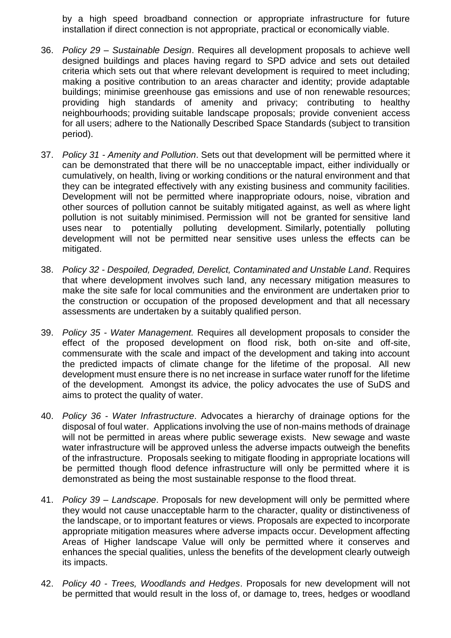by a high speed broadband connection or appropriate infrastructure for future installation if direct connection is not appropriate, practical or economically viable.

- 36. *Policy 29 – Sustainable Design*. Requires all development proposals to achieve well designed buildings and places having regard to SPD advice and sets out detailed criteria which sets out that where relevant development is required to meet including; making a positive contribution to an areas character and identity; provide adaptable buildings; minimise greenhouse gas emissions and use of non renewable resources; providing high standards of amenity and privacy; contributing to healthy neighbourhoods; providing suitable landscape proposals; provide convenient access for all users; adhere to the Nationally Described Space Standards (subject to transition period).
- 37. *Policy 31 - Amenity and Pollution*. Sets out that development will be permitted where it can be demonstrated that there will be no unacceptable impact, either individually or cumulatively, on health, living or working conditions or the natural environment and that they can be integrated effectively with any existing business and community facilities. Development will not be permitted where inappropriate odours, noise, vibration and other sources of pollution cannot be suitably mitigated against, as well as where light pollution is not suitably minimised. Permission will not be granted for sensitive land uses near to potentially polluting development. Similarly, potentially polluting development will not be permitted near sensitive uses unless the effects can be mitigated.
- 38. *Policy 32 - Despoiled, Degraded, Derelict, Contaminated and Unstable Land*. Requires that where development involves such land, any necessary mitigation measures to make the site safe for local communities and the environment are undertaken prior to the construction or occupation of the proposed development and that all necessary assessments are undertaken by a suitably qualified person.
- 39. *Policy 35 - Water Management.* Requires all development proposals to consider the effect of the proposed development on flood risk, both on-site and off-site, commensurate with the scale and impact of the development and taking into account the predicted impacts of climate change for the lifetime of the proposal. All new development must ensure there is no net increase in surface water runoff for the lifetime of the development*.* Amongst its advice, the policy advocates the use of SuDS and aims to protect the quality of water.
- 40. *Policy 36 - Water Infrastructure*. Advocates a hierarchy of drainage options for the disposal of foul water. Applications involving the use of non-mains methods of drainage will not be permitted in areas where public sewerage exists. New sewage and waste water infrastructure will be approved unless the adverse impacts outweigh the benefits of the infrastructure. Proposals seeking to mitigate flooding in appropriate locations will be permitted though flood defence infrastructure will only be permitted where it is demonstrated as being the most sustainable response to the flood threat.
- 41. *Policy 39 – Landscape*. Proposals for new development will only be permitted where they would not cause unacceptable harm to the character, quality or distinctiveness of the landscape, or to important features or views. Proposals are expected to incorporate appropriate mitigation measures where adverse impacts occur. Development affecting Areas of Higher landscape Value will only be permitted where it conserves and enhances the special qualities, unless the benefits of the development clearly outweigh its impacts.
- 42. *Policy 40 - Trees, Woodlands and Hedges*. Proposals for new development will not be permitted that would result in the loss of, or damage to, trees, hedges or woodland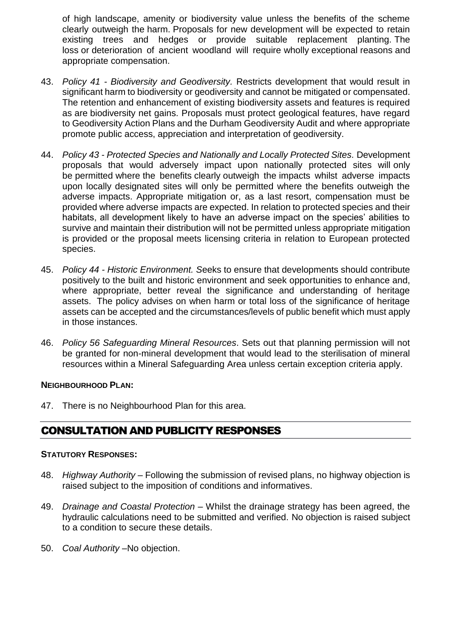of high landscape, amenity or biodiversity value unless the benefits of the scheme clearly outweigh the harm. Proposals for new development will be expected to retain existing trees and hedges or provide suitable replacement planting. The loss or deterioration of ancient woodland will require wholly exceptional reasons and appropriate compensation.

- 43. *Policy 41 - Biodiversity and Geodiversity.* Restricts development that would result in significant harm to biodiversity or geodiversity and cannot be mitigated or compensated. The retention and enhancement of existing biodiversity assets and features is required as are biodiversity net gains. Proposals must protect geological features, have regard to Geodiversity Action Plans and the Durham Geodiversity Audit and where appropriate promote public access, appreciation and interpretation of geodiversity.
- 44. *Policy 43 - Protected Species and Nationally and Locally Protected Sites.* Development proposals that would adversely impact upon nationally protected sites will only be permitted where the benefits clearly outweigh the impacts whilst adverse impacts upon locally designated sites will only be permitted where the benefits outweigh the adverse impacts. Appropriate mitigation or, as a last resort, compensation must be provided where adverse impacts are expected. In relation to protected species and their habitats, all development likely to have an adverse impact on the species' abilities to survive and maintain their distribution will not be permitted unless appropriate mitigation is provided or the proposal meets licensing criteria in relation to European protected species.
- 45. *Policy 44 - Historic Environment. S*eeks to ensure that developments should contribute positively to the built and historic environment and seek opportunities to enhance and, where appropriate, better reveal the significance and understanding of heritage assets. The policy advises on when harm or total loss of the significance of heritage assets can be accepted and the circumstances/levels of public benefit which must apply in those instances.
- 46. *Policy 56 Safeguarding Mineral Resources*. Sets out that planning permission will not be granted for non-mineral development that would lead to the sterilisation of mineral resources within a Mineral Safeguarding Area unless certain exception criteria apply.

#### **NEIGHBOURHOOD PLAN:**

47. There is no Neighbourhood Plan for this area.

# CONSULTATION AND PUBLICITY RESPONSES

#### **STATUTORY RESPONSES:**

- 48. *Highway Authority* Following the submission of revised plans, no highway objection is raised subject to the imposition of conditions and informatives.
- 49. *Drainage and Coastal Protection* Whilst the drainage strategy has been agreed, the hydraulic calculations need to be submitted and verified. No objection is raised subject to a condition to secure these details.
- 50. *Coal Authority* –No objection.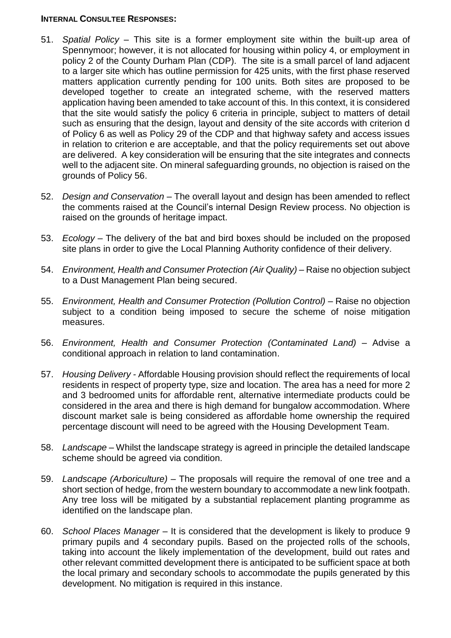#### **INTERNAL CONSULTEE RESPONSES:**

- 51. *Spatial Policy* This site is a former employment site within the built-up area of Spennymoor; however, it is not allocated for housing within policy 4, or employment in policy 2 of the County Durham Plan (CDP). The site is a small parcel of land adjacent to a larger site which has outline permission for 425 units, with the first phase reserved matters application currently pending for 100 units. Both sites are proposed to be developed together to create an integrated scheme, with the reserved matters application having been amended to take account of this. In this context, it is considered that the site would satisfy the policy 6 criteria in principle, subject to matters of detail such as ensuring that the design, layout and density of the site accords with criterion d of Policy 6 as well as Policy 29 of the CDP and that highway safety and access issues in relation to criterion e are acceptable, and that the policy requirements set out above are delivered. A key consideration will be ensuring that the site integrates and connects well to the adjacent site. On mineral safeguarding grounds, no objection is raised on the grounds of Policy 56.
- 52. *Design and Conservation* The overall layout and design has been amended to reflect the comments raised at the Council's internal Design Review process. No objection is raised on the grounds of heritage impact.
- 53. *Ecology –* The delivery of the bat and bird boxes should be included on the proposed site plans in order to give the Local Planning Authority confidence of their delivery.
- 54. *Environment, Health and Consumer Protection (Air Quality) –* Raise no objection subject to a Dust Management Plan being secured.
- 55. *Environment, Health and Consumer Protection (Pollution Control) –* Raise no objection subject to a condition being imposed to secure the scheme of noise mitigation measures.
- 56. *Environment, Health and Consumer Protection (Contaminated Land)* Advise a conditional approach in relation to land contamination.
- 57. *Housing Delivery -* Affordable Housing provision should reflect the requirements of local residents in respect of property type, size and location. The area has a need for more 2 and 3 bedroomed units for affordable rent, alternative intermediate products could be considered in the area and there is high demand for bungalow accommodation. Where discount market sale is being considered as affordable home ownership the required percentage discount will need to be agreed with the Housing Development Team.
- 58. *Landscape*  Whilst the landscape strategy is agreed in principle the detailed landscape scheme should be agreed via condition.
- 59. *Landscape (Arboriculture)* The proposals will require the removal of one tree and a short section of hedge, from the western boundary to accommodate a new link footpath. Any tree loss will be mitigated by a substantial replacement planting programme as identified on the landscape plan.
- 60. *School Places Manager* It is considered that the development is likely to produce 9 primary pupils and 4 secondary pupils. Based on the projected rolls of the schools, taking into account the likely implementation of the development, build out rates and other relevant committed development there is anticipated to be sufficient space at both the local primary and secondary schools to accommodate the pupils generated by this development. No mitigation is required in this instance.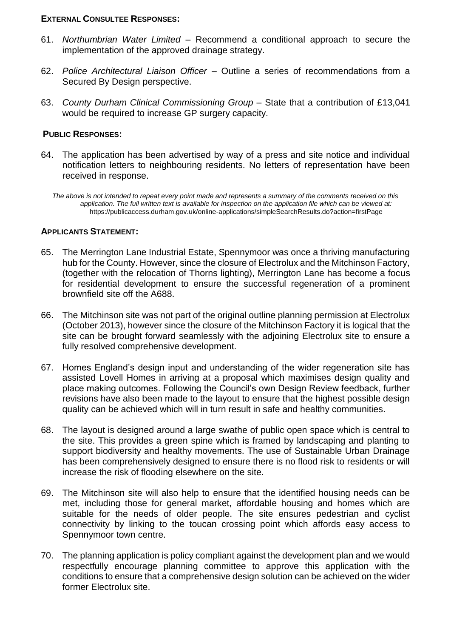#### **EXTERNAL CONSULTEE RESPONSES:**

- 61. *Northumbrian Water Limited* Recommend a conditional approach to secure the implementation of the approved drainage strategy.
- 62. *Police Architectural Liaison Officer*  Outline a series of recommendations from a Secured By Design perspective.
- 63. *County Durham Clinical Commissioning Group*  State that a contribution of £13,041 would be required to increase GP surgery capacity.

#### **PUBLIC RESPONSES:**

64. The application has been advertised by way of a press and site notice and individual notification letters to neighbouring residents. No letters of representation have been received in response.

*The above is not intended to repeat every point made and represents a summary of the comments received on this application. The full written text is available for inspection on the application file which can be viewed at:*  <https://publicaccess.durham.gov.uk/online-applications/simpleSearchResults.do?action=firstPage>

#### **APPLICANTS STATEMENT:**

- 65. The Merrington Lane Industrial Estate, Spennymoor was once a thriving manufacturing hub for the County. However, since the closure of Electrolux and the Mitchinson Factory, (together with the relocation of Thorns lighting), Merrington Lane has become a focus for residential development to ensure the successful regeneration of a prominent brownfield site off the A688.
- 66. The Mitchinson site was not part of the original outline planning permission at Electrolux (October 2013), however since the closure of the Mitchinson Factory it is logical that the site can be brought forward seamlessly with the adjoining Electrolux site to ensure a fully resolved comprehensive development.
- 67. Homes England's design input and understanding of the wider regeneration site has assisted Lovell Homes in arriving at a proposal which maximises design quality and place making outcomes. Following the Council's own Design Review feedback, further revisions have also been made to the layout to ensure that the highest possible design quality can be achieved which will in turn result in safe and healthy communities.
- 68. The layout is designed around a large swathe of public open space which is central to the site. This provides a green spine which is framed by landscaping and planting to support biodiversity and healthy movements. The use of Sustainable Urban Drainage has been comprehensively designed to ensure there is no flood risk to residents or will increase the risk of flooding elsewhere on the site.
- 69. The Mitchinson site will also help to ensure that the identified housing needs can be met, including those for general market, affordable housing and homes which are suitable for the needs of older people. The site ensures pedestrian and cyclist connectivity by linking to the toucan crossing point which affords easy access to Spennymoor town centre.
- 70. The planning application is policy compliant against the development plan and we would respectfully encourage planning committee to approve this application with the conditions to ensure that a comprehensive design solution can be achieved on the wider former Electrolux site.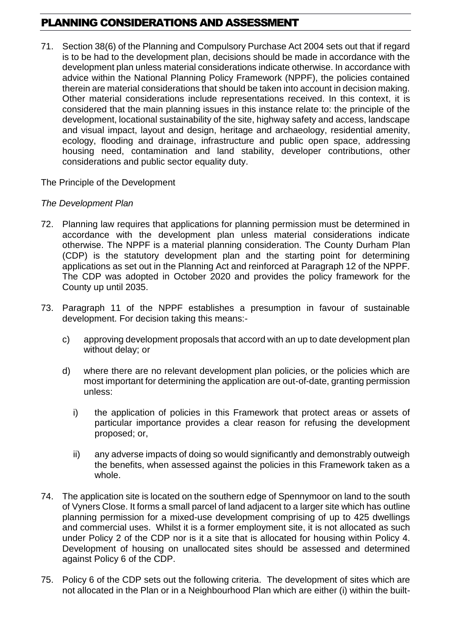# PLANNING CONSIDERATIONS AND ASSESSMENT

71. Section 38(6) of the Planning and Compulsory Purchase Act 2004 sets out that if regard is to be had to the development plan, decisions should be made in accordance with the development plan unless material considerations indicate otherwise. In accordance with advice within the National Planning Policy Framework (NPPF), the policies contained therein are material considerations that should be taken into account in decision making. Other material considerations include representations received. In this context, it is considered that the main planning issues in this instance relate to: the principle of the development, locational sustainability of the site, highway safety and access, landscape and visual impact, layout and design, heritage and archaeology, residential amenity, ecology, flooding and drainage, infrastructure and public open space, addressing housing need, contamination and land stability, developer contributions, other considerations and public sector equality duty.

#### The Principle of the Development

#### *The Development Plan*

- 72. Planning law requires that applications for planning permission must be determined in accordance with the development plan unless material considerations indicate otherwise. The NPPF is a material planning consideration. The County Durham Plan (CDP) is the statutory development plan and the starting point for determining applications as set out in the Planning Act and reinforced at Paragraph 12 of the NPPF. The CDP was adopted in October 2020 and provides the policy framework for the County up until 2035.
- 73. Paragraph 11 of the NPPF establishes a presumption in favour of sustainable development. For decision taking this means:
	- c) approving development proposals that accord with an up to date development plan without delay; or
	- d) where there are no relevant development plan policies, or the policies which are most important for determining the application are out-of-date, granting permission unless:
		- i) the application of policies in this Framework that protect areas or assets of particular importance provides a clear reason for refusing the development proposed; or,
		- ii) any adverse impacts of doing so would significantly and demonstrably outweigh the benefits, when assessed against the policies in this Framework taken as a whole.
- 74. The application site is located on the southern edge of Spennymoor on land to the south of Vyners Close. It forms a small parcel of land adjacent to a larger site which has outline planning permission for a mixed-use development comprising of up to 425 dwellings and commercial uses. Whilst it is a former employment site, it is not allocated as such under Policy 2 of the CDP nor is it a site that is allocated for housing within Policy 4. Development of housing on unallocated sites should be assessed and determined against Policy 6 of the CDP.
- 75. Policy 6 of the CDP sets out the following criteria. The development of sites which are not allocated in the Plan or in a Neighbourhood Plan which are either (i) within the built-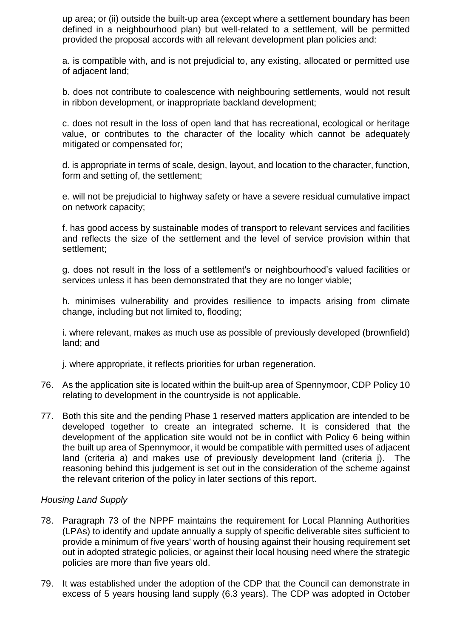up area; or (ii) outside the built-up area (except where a settlement boundary has been defined in a neighbourhood plan) but well-related to a settlement, will be permitted provided the proposal accords with all relevant development plan policies and:

a. is compatible with, and is not prejudicial to, any existing, allocated or permitted use of adjacent land;

b. does not contribute to coalescence with neighbouring settlements, would not result in ribbon development, or inappropriate backland development;

c. does not result in the loss of open land that has recreational, ecological or heritage value, or contributes to the character of the locality which cannot be adequately mitigated or compensated for;

d. is appropriate in terms of scale, design, layout, and location to the character, function, form and setting of, the settlement;

e. will not be prejudicial to highway safety or have a severe residual cumulative impact on network capacity;

f. has good access by sustainable modes of transport to relevant services and facilities and reflects the size of the settlement and the level of service provision within that settlement;

g. does not result in the loss of a settlement's or neighbourhood's valued facilities or services unless it has been demonstrated that they are no longer viable;

h. minimises vulnerability and provides resilience to impacts arising from climate change, including but not limited to, flooding;

i. where relevant, makes as much use as possible of previously developed (brownfield) land; and

j. where appropriate, it reflects priorities for urban regeneration.

- 76. As the application site is located within the built-up area of Spennymoor, CDP Policy 10 relating to development in the countryside is not applicable.
- 77. Both this site and the pending Phase 1 reserved matters application are intended to be developed together to create an integrated scheme. It is considered that the development of the application site would not be in conflict with Policy 6 being within the built up area of Spennymoor, it would be compatible with permitted uses of adjacent land (criteria a) and makes use of previously development land (criteria j). The reasoning behind this judgement is set out in the consideration of the scheme against the relevant criterion of the policy in later sections of this report.

#### *Housing Land Supply*

- 78. Paragraph 73 of the NPPF maintains the requirement for Local Planning Authorities (LPAs) to identify and update annually a supply of specific deliverable sites sufficient to provide a minimum of five years' worth of housing against their housing requirement set out in adopted strategic policies, or against their local housing need where the strategic policies are more than five years old.
- 79. It was established under the adoption of the CDP that the Council can demonstrate in excess of 5 years housing land supply (6.3 years). The CDP was adopted in October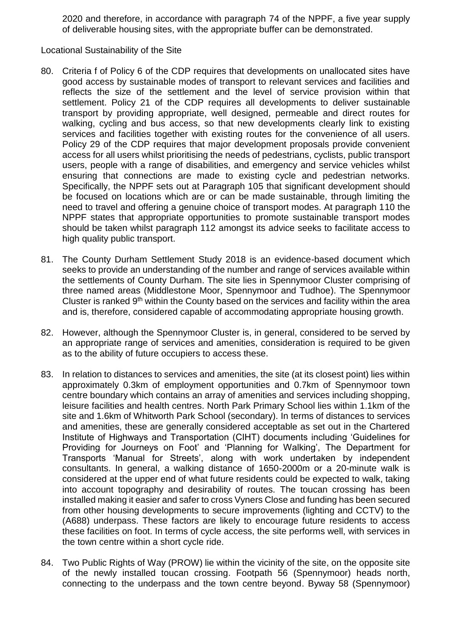2020 and therefore, in accordance with paragraph 74 of the NPPF, a five year supply of deliverable housing sites, with the appropriate buffer can be demonstrated.

Locational Sustainability of the Site

- 80. Criteria f of Policy 6 of the CDP requires that developments on unallocated sites have good access by sustainable modes of transport to relevant services and facilities and reflects the size of the settlement and the level of service provision within that settlement. Policy 21 of the CDP requires all developments to deliver sustainable transport by providing appropriate, well designed, permeable and direct routes for walking, cycling and bus access, so that new developments clearly link to existing services and facilities together with existing routes for the convenience of all users. Policy 29 of the CDP requires that major development proposals provide convenient access for all users whilst prioritising the needs of pedestrians, cyclists, public transport users, people with a range of disabilities, and emergency and service vehicles whilst ensuring that connections are made to existing cycle and pedestrian networks. Specifically, the NPPF sets out at Paragraph 105 that significant development should be focused on locations which are or can be made sustainable, through limiting the need to travel and offering a genuine choice of transport modes. At paragraph 110 the NPPF states that appropriate opportunities to promote sustainable transport modes should be taken whilst paragraph 112 amongst its advice seeks to facilitate access to high quality public transport.
- 81. The County Durham Settlement Study 2018 is an evidence-based document which seeks to provide an understanding of the number and range of services available within the settlements of County Durham. The site lies in Spennymoor Cluster comprising of three named areas (Middlestone Moor, Spennymoor and Tudhoe). The Spennymoor Cluster is ranked 9<sup>th</sup> within the County based on the services and facility within the area and is, therefore, considered capable of accommodating appropriate housing growth.
- 82. However, although the Spennymoor Cluster is, in general, considered to be served by an appropriate range of services and amenities, consideration is required to be given as to the ability of future occupiers to access these.
- 83. In relation to distances to services and amenities, the site (at its closest point) lies within approximately 0.3km of employment opportunities and 0.7km of Spennymoor town centre boundary which contains an array of amenities and services including shopping, leisure facilities and health centres. North Park Primary School lies within 1.1km of the site and 1.6km of Whitworth Park School (secondary). In terms of distances to services and amenities, these are generally considered acceptable as set out in the Chartered Institute of Highways and Transportation (CIHT) documents including 'Guidelines for Providing for Journeys on Foot' and 'Planning for Walking', The Department for Transports 'Manual for Streets', along with work undertaken by independent consultants. In general, a walking distance of 1650-2000m or a 20-minute walk is considered at the upper end of what future residents could be expected to walk, taking into account topography and desirability of routes. The toucan crossing has been installed making it easier and safer to cross Vyners Close and funding has been secured from other housing developments to secure improvements (lighting and CCTV) to the (A688) underpass. These factors are likely to encourage future residents to access these facilities on foot. In terms of cycle access, the site performs well, with services in the town centre within a short cycle ride.
- 84. Two Public Rights of Way (PROW) lie within the vicinity of the site, on the opposite site of the newly installed toucan crossing. Footpath 56 (Spennymoor) heads north, connecting to the underpass and the town centre beyond. Byway 58 (Spennymoor)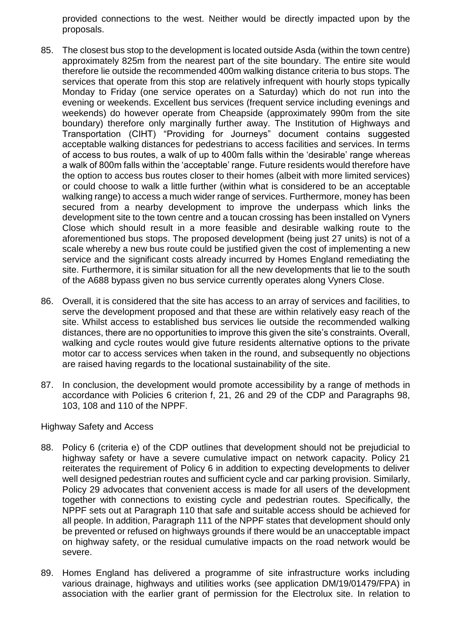provided connections to the west. Neither would be directly impacted upon by the proposals.

- 85. The closest bus stop to the development is located outside Asda (within the town centre) approximately 825m from the nearest part of the site boundary. The entire site would therefore lie outside the recommended 400m walking distance criteria to bus stops. The services that operate from this stop are relatively infrequent with hourly stops typically Monday to Friday (one service operates on a Saturday) which do not run into the evening or weekends. Excellent bus services (frequent service including evenings and weekends) do however operate from Cheapside (approximately 990m from the site boundary) therefore only marginally further away. The Institution of Highways and Transportation (CIHT) "Providing for Journeys" document contains suggested acceptable walking distances for pedestrians to access facilities and services. In terms of access to bus routes, a walk of up to 400m falls within the 'desirable' range whereas a walk of 800m falls within the 'acceptable' range. Future residents would therefore have the option to access bus routes closer to their homes (albeit with more limited services) or could choose to walk a little further (within what is considered to be an acceptable walking range) to access a much wider range of services. Furthermore, money has been secured from a nearby development to improve the underpass which links the development site to the town centre and a toucan crossing has been installed on Vyners Close which should result in a more feasible and desirable walking route to the aforementioned bus stops. The proposed development (being just 27 units) is not of a scale whereby a new bus route could be justified given the cost of implementing a new service and the significant costs already incurred by Homes England remediating the site. Furthermore, it is similar situation for all the new developments that lie to the south of the A688 bypass given no bus service currently operates along Vyners Close.
- 86. Overall, it is considered that the site has access to an array of services and facilities, to serve the development proposed and that these are within relatively easy reach of the site. Whilst access to established bus services lie outside the recommended walking distances, there are no opportunities to improve this given the site's constraints. Overall, walking and cycle routes would give future residents alternative options to the private motor car to access services when taken in the round, and subsequently no objections are raised having regards to the locational sustainability of the site.
- 87. In conclusion, the development would promote accessibility by a range of methods in accordance with Policies 6 criterion f, 21, 26 and 29 of the CDP and Paragraphs 98, 103, 108 and 110 of the NPPF.

#### Highway Safety and Access

- 88. Policy 6 (criteria e) of the CDP outlines that development should not be prejudicial to highway safety or have a severe cumulative impact on network capacity. Policy 21 reiterates the requirement of Policy 6 in addition to expecting developments to deliver well designed pedestrian routes and sufficient cycle and car parking provision. Similarly, Policy 29 advocates that convenient access is made for all users of the development together with connections to existing cycle and pedestrian routes. Specifically, the NPPF sets out at Paragraph 110 that safe and suitable access should be achieved for all people. In addition, Paragraph 111 of the NPPF states that development should only be prevented or refused on highways grounds if there would be an unacceptable impact on highway safety, or the residual cumulative impacts on the road network would be severe.
- 89. Homes England has delivered a programme of site infrastructure works including various drainage, highways and utilities works (see application DM/19/01479/FPA) in association with the earlier grant of permission for the Electrolux site. In relation to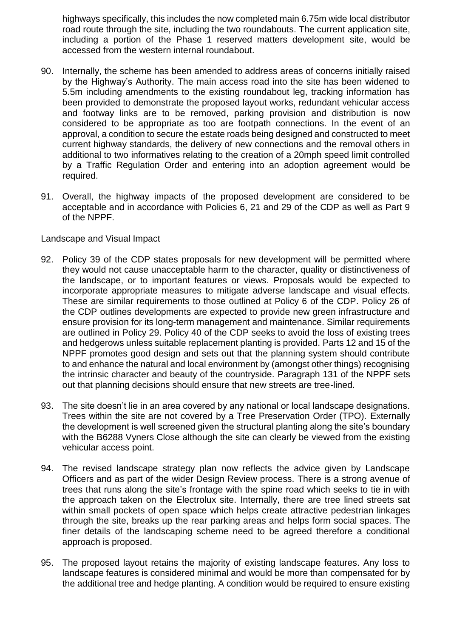highways specifically, this includes the now completed main 6.75m wide local distributor road route through the site, including the two roundabouts. The current application site, including a portion of the Phase 1 reserved matters development site, would be accessed from the western internal roundabout.

- 90. Internally, the scheme has been amended to address areas of concerns initially raised by the Highway's Authority. The main access road into the site has been widened to 5.5m including amendments to the existing roundabout leg, tracking information has been provided to demonstrate the proposed layout works, redundant vehicular access and footway links are to be removed, parking provision and distribution is now considered to be appropriate as too are footpath connections. In the event of an approval, a condition to secure the estate roads being designed and constructed to meet current highway standards, the delivery of new connections and the removal others in additional to two informatives relating to the creation of a 20mph speed limit controlled by a Traffic Regulation Order and entering into an adoption agreement would be required.
- 91. Overall, the highway impacts of the proposed development are considered to be acceptable and in accordance with Policies 6, 21 and 29 of the CDP as well as Part 9 of the NPPF.

#### Landscape and Visual Impact

- 92. Policy 39 of the CDP states proposals for new development will be permitted where they would not cause unacceptable harm to the character, quality or distinctiveness of the landscape, or to important features or views. Proposals would be expected to incorporate appropriate measures to mitigate adverse landscape and visual effects. These are similar requirements to those outlined at Policy 6 of the CDP. Policy 26 of the CDP outlines developments are expected to provide new green infrastructure and ensure provision for its long-term management and maintenance. Similar requirements are outlined in Policy 29. Policy 40 of the CDP seeks to avoid the loss of existing trees and hedgerows unless suitable replacement planting is provided. Parts 12 and 15 of the NPPF promotes good design and sets out that the planning system should contribute to and enhance the natural and local environment by (amongst other things) recognising the intrinsic character and beauty of the countryside. Paragraph 131 of the NPPF sets out that planning decisions should ensure that new streets are tree-lined.
- 93. The site doesn't lie in an area covered by any national or local landscape designations. Trees within the site are not covered by a Tree Preservation Order (TPO). Externally the development is well screened given the structural planting along the site's boundary with the B6288 Vyners Close although the site can clearly be viewed from the existing vehicular access point.
- 94. The revised landscape strategy plan now reflects the advice given by Landscape Officers and as part of the wider Design Review process. There is a strong avenue of trees that runs along the site's frontage with the spine road which seeks to tie in with the approach taken on the Electrolux site. Internally, there are tree lined streets sat within small pockets of open space which helps create attractive pedestrian linkages through the site, breaks up the rear parking areas and helps form social spaces. The finer details of the landscaping scheme need to be agreed therefore a conditional approach is proposed.
- 95. The proposed layout retains the majority of existing landscape features. Any loss to landscape features is considered minimal and would be more than compensated for by the additional tree and hedge planting. A condition would be required to ensure existing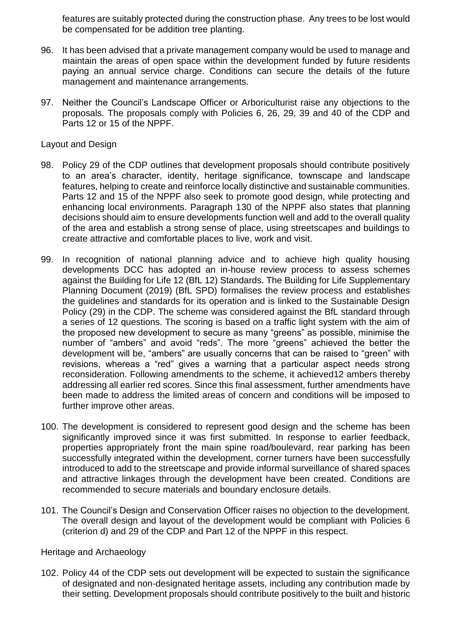features are suitably protected during the construction phase. Any trees to be lost would be compensated for be addition tree planting.

- 96. It has been advised that a private management company would be used to manage and maintain the areas of open space within the development funded by future residents paying an annual service charge. Conditions can secure the details of the future management and maintenance arrangements.
- 97. Neither the Council's Landscape Officer or Arboriculturist raise any objections to the proposals. The proposals comply with Policies 6, 26, 29, 39 and 40 of the CDP and Parts 12 or 15 of the NPPF.

#### Layout and Design

- 98. Policy 29 of the CDP outlines that development proposals should contribute positively to an area's character, identity, heritage significance, townscape and landscape features, helping to create and reinforce locally distinctive and sustainable communities. Parts 12 and 15 of the NPPF also seek to promote good design, while protecting and enhancing local environments. Paragraph 130 of the NPPF also states that planning decisions should aim to ensure developments function well and add to the overall quality of the area and establish a strong sense of place, using streetscapes and buildings to create attractive and comfortable places to live, work and visit.
- 99. In recognition of national planning advice and to achieve high quality housing developments DCC has adopted an in-house review process to assess schemes against the Building for Life 12 (BfL 12) Standards. The Building for Life Supplementary Planning Document (2019) (BfL SPD) formalises the review process and establishes the guidelines and standards for its operation and is linked to the Sustainable Design Policy (29) in the CDP. The scheme was considered against the BfL standard through a series of 12 questions. The scoring is based on a traffic light system with the aim of the proposed new development to secure as many "greens" as possible, minimise the number of "ambers" and avoid "reds". The more "greens" achieved the better the development will be, "ambers" are usually concerns that can be raised to "green" with revisions, whereas a "red" gives a warning that a particular aspect needs strong reconsideration. Following amendments to the scheme, it achieved12 ambers thereby addressing all earlier red scores. Since this final assessment, further amendments have been made to address the limited areas of concern and conditions will be imposed to further improve other areas.
- 100. The development is considered to represent good design and the scheme has been significantly improved since it was first submitted. In response to earlier feedback, properties appropriately front the main spine road/boulevard, rear parking has been successfully integrated within the development, corner turners have been successfully introduced to add to the streetscape and provide informal surveillance of shared spaces and attractive linkages through the development have been created. Conditions are recommended to secure materials and boundary enclosure details.
- 101. The Council's Design and Conservation Officer raises no objection to the development. The overall design and layout of the development would be compliant with Policies 6 (criterion d) and 29 of the CDP and Part 12 of the NPPF in this respect.

#### Heritage and Archaeology

102. Policy 44 of the CDP sets out development will be expected to sustain the significance of designated and non-designated heritage assets, including any contribution made by their setting. Development proposals should contribute positively to the built and historic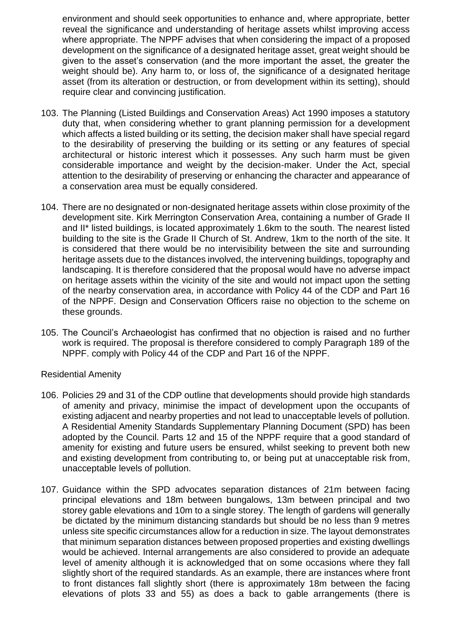environment and should seek opportunities to enhance and, where appropriate, better reveal the significance and understanding of heritage assets whilst improving access where appropriate. The NPPF advises that when considering the impact of a proposed development on the significance of a designated heritage asset, great weight should be given to the asset's conservation (and the more important the asset, the greater the weight should be). Any harm to, or loss of, the significance of a designated heritage asset (from its alteration or destruction, or from development within its setting), should require clear and convincing justification.

- 103. The Planning (Listed Buildings and Conservation Areas) Act 1990 imposes a statutory duty that, when considering whether to grant planning permission for a development which affects a listed building or its setting, the decision maker shall have special regard to the desirability of preserving the building or its setting or any features of special architectural or historic interest which it possesses. Any such harm must be given considerable importance and weight by the decision-maker. Under the Act, special attention to the desirability of preserving or enhancing the character and appearance of a conservation area must be equally considered.
- 104. There are no designated or non-designated heritage assets within close proximity of the development site. Kirk Merrington Conservation Area, containing a number of Grade II and II\* listed buildings, is located approximately 1.6km to the south. The nearest listed building to the site is the Grade II Church of St. Andrew, 1km to the north of the site. It is considered that there would be no intervisibility between the site and surrounding heritage assets due to the distances involved, the intervening buildings, topography and landscaping. It is therefore considered that the proposal would have no adverse impact on heritage assets within the vicinity of the site and would not impact upon the setting of the nearby conservation area, in accordance with Policy 44 of the CDP and Part 16 of the NPPF. Design and Conservation Officers raise no objection to the scheme on these grounds.
- 105. The Council's Archaeologist has confirmed that no objection is raised and no further work is required. The proposal is therefore considered to comply Paragraph 189 of the NPPF. comply with Policy 44 of the CDP and Part 16 of the NPPF.

#### Residential Amenity

- 106. Policies 29 and 31 of the CDP outline that developments should provide high standards of amenity and privacy, minimise the impact of development upon the occupants of existing adjacent and nearby properties and not lead to unacceptable levels of pollution. A Residential Amenity Standards Supplementary Planning Document (SPD) has been adopted by the Council. Parts 12 and 15 of the NPPF require that a good standard of amenity for existing and future users be ensured, whilst seeking to prevent both new and existing development from contributing to, or being put at unacceptable risk from, unacceptable levels of pollution.
- 107. Guidance within the SPD advocates separation distances of 21m between facing principal elevations and 18m between bungalows, 13m between principal and two storey gable elevations and 10m to a single storey. The length of gardens will generally be dictated by the minimum distancing standards but should be no less than 9 metres unless site specific circumstances allow for a reduction in size. The layout demonstrates that minimum separation distances between proposed properties and existing dwellings would be achieved. Internal arrangements are also considered to provide an adequate level of amenity although it is acknowledged that on some occasions where they fall slightly short of the required standards. As an example, there are instances where front to front distances fall slightly short (there is approximately 18m between the facing elevations of plots 33 and 55) as does a back to gable arrangements (there is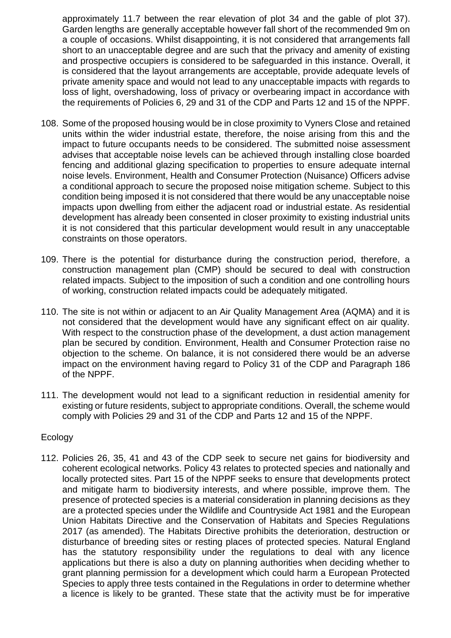approximately 11.7 between the rear elevation of plot 34 and the gable of plot 37). Garden lengths are generally acceptable however fall short of the recommended 9m on a couple of occasions. Whilst disappointing, it is not considered that arrangements fall short to an unacceptable degree and are such that the privacy and amenity of existing and prospective occupiers is considered to be safeguarded in this instance. Overall, it is considered that the layout arrangements are acceptable, provide adequate levels of private amenity space and would not lead to any unacceptable impacts with regards to loss of light, overshadowing, loss of privacy or overbearing impact in accordance with the requirements of Policies 6, 29 and 31 of the CDP and Parts 12 and 15 of the NPPF.

- 108. Some of the proposed housing would be in close proximity to Vyners Close and retained units within the wider industrial estate, therefore, the noise arising from this and the impact to future occupants needs to be considered. The submitted noise assessment advises that acceptable noise levels can be achieved through installing close boarded fencing and additional glazing specification to properties to ensure adequate internal noise levels. Environment, Health and Consumer Protection (Nuisance) Officers advise a conditional approach to secure the proposed noise mitigation scheme. Subject to this condition being imposed it is not considered that there would be any unacceptable noise impacts upon dwelling from either the adjacent road or industrial estate. As residential development has already been consented in closer proximity to existing industrial units it is not considered that this particular development would result in any unacceptable constraints on those operators.
- 109. There is the potential for disturbance during the construction period, therefore, a construction management plan (CMP) should be secured to deal with construction related impacts. Subject to the imposition of such a condition and one controlling hours of working, construction related impacts could be adequately mitigated.
- 110. The site is not within or adjacent to an Air Quality Management Area (AQMA) and it is not considered that the development would have any significant effect on air quality. With respect to the construction phase of the development, a dust action management plan be secured by condition. Environment, Health and Consumer Protection raise no objection to the scheme. On balance, it is not considered there would be an adverse impact on the environment having regard to Policy 31 of the CDP and Paragraph 186 of the NPPF.
- 111. The development would not lead to a significant reduction in residential amenity for existing or future residents, subject to appropriate conditions. Overall, the scheme would comply with Policies 29 and 31 of the CDP and Parts 12 and 15 of the NPPF.

#### Ecology

112. Policies 26, 35, 41 and 43 of the CDP seek to secure net gains for biodiversity and coherent ecological networks. Policy 43 relates to protected species and nationally and locally protected sites. Part 15 of the NPPF seeks to ensure that developments protect and mitigate harm to biodiversity interests, and where possible, improve them. The presence of protected species is a material consideration in planning decisions as they are a protected species under the Wildlife and Countryside Act 1981 and the European Union Habitats Directive and the Conservation of Habitats and Species Regulations 2017 (as amended). The Habitats Directive prohibits the deterioration, destruction or disturbance of breeding sites or resting places of protected species. Natural England has the statutory responsibility under the regulations to deal with any licence applications but there is also a duty on planning authorities when deciding whether to grant planning permission for a development which could harm a European Protected Species to apply three tests contained in the Regulations in order to determine whether a licence is likely to be granted. These state that the activity must be for imperative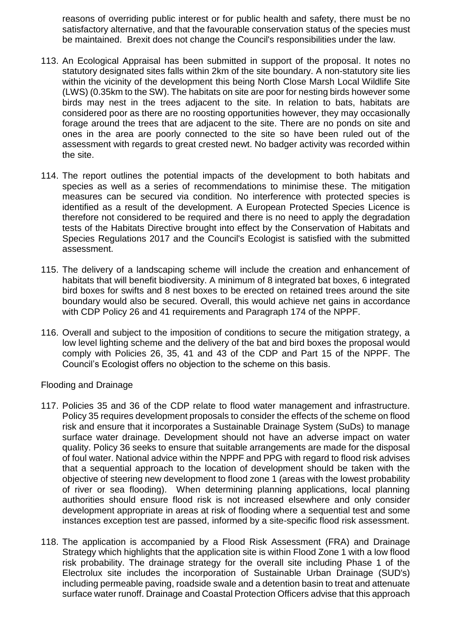reasons of overriding public interest or for public health and safety, there must be no satisfactory alternative, and that the favourable conservation status of the species must be maintained. Brexit does not change the Council's responsibilities under the law.

- 113. An Ecological Appraisal has been submitted in support of the proposal. It notes no statutory designated sites falls within 2km of the site boundary. A non-statutory site lies within the vicinity of the development this being North Close Marsh Local Wildlife Site (LWS) (0.35km to the SW). The habitats on site are poor for nesting birds however some birds may nest in the trees adjacent to the site. In relation to bats, habitats are considered poor as there are no roosting opportunities however, they may occasionally forage around the trees that are adjacent to the site. There are no ponds on site and ones in the area are poorly connected to the site so have been ruled out of the assessment with regards to great crested newt. No badger activity was recorded within the site.
- 114. The report outlines the potential impacts of the development to both habitats and species as well as a series of recommendations to minimise these. The mitigation measures can be secured via condition. No interference with protected species is identified as a result of the development. A European Protected Species Licence is therefore not considered to be required and there is no need to apply the degradation tests of the Habitats Directive brought into effect by the Conservation of Habitats and Species Regulations 2017 and the Council's Ecologist is satisfied with the submitted assessment.
- 115. The delivery of a landscaping scheme will include the creation and enhancement of habitats that will benefit biodiversity. A minimum of 8 integrated bat boxes, 6 integrated bird boxes for swifts and 8 nest boxes to be erected on retained trees around the site boundary would also be secured. Overall, this would achieve net gains in accordance with CDP Policy 26 and 41 requirements and Paragraph 174 of the NPPF.
- 116. Overall and subject to the imposition of conditions to secure the mitigation strategy, a low level lighting scheme and the delivery of the bat and bird boxes the proposal would comply with Policies 26, 35, 41 and 43 of the CDP and Part 15 of the NPPF. The Council's Ecologist offers no objection to the scheme on this basis.

Flooding and Drainage

- 117. Policies 35 and 36 of the CDP relate to flood water management and infrastructure. Policy 35 requires development proposals to consider the effects of the scheme on flood risk and ensure that it incorporates a Sustainable Drainage System (SuDs) to manage surface water drainage. Development should not have an adverse impact on water quality. Policy 36 seeks to ensure that suitable arrangements are made for the disposal of foul water. National advice within the NPPF and PPG with regard to flood risk advises that a sequential approach to the location of development should be taken with the objective of steering new development to flood zone 1 (areas with the lowest probability of river or sea flooding). When determining planning applications, local planning authorities should ensure flood risk is not increased elsewhere and only consider development appropriate in areas at risk of flooding where a sequential test and some instances exception test are passed, informed by a site-specific flood risk assessment.
- 118. The application is accompanied by a Flood Risk Assessment (FRA) and Drainage Strategy which highlights that the application site is within Flood Zone 1 with a low flood risk probability. The drainage strategy for the overall site including Phase 1 of the Electrolux site includes the incorporation of Sustainable Urban Drainage (SUD's) including permeable paving, roadside swale and a detention basin to treat and attenuate surface water runoff. Drainage and Coastal Protection Officers advise that this approach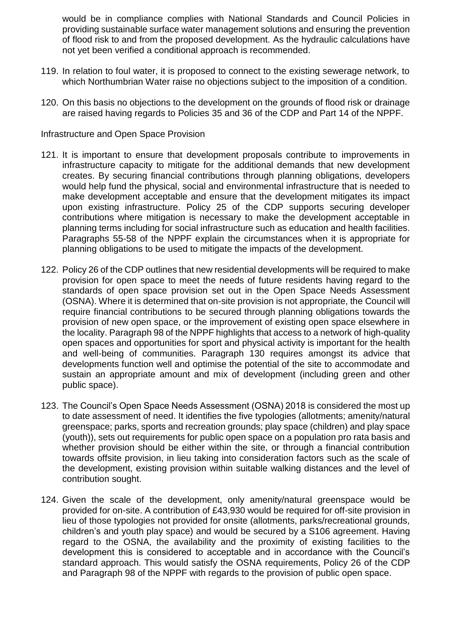would be in compliance complies with National Standards and Council Policies in providing sustainable surface water management solutions and ensuring the prevention of flood risk to and from the proposed development. As the hydraulic calculations have not yet been verified a conditional approach is recommended.

- 119. In relation to foul water, it is proposed to connect to the existing sewerage network, to which Northumbrian Water raise no objections subject to the imposition of a condition.
- 120. On this basis no objections to the development on the grounds of flood risk or drainage are raised having regards to Policies 35 and 36 of the CDP and Part 14 of the NPPF.

#### Infrastructure and Open Space Provision

- 121. It is important to ensure that development proposals contribute to improvements in infrastructure capacity to mitigate for the additional demands that new development creates. By securing financial contributions through planning obligations, developers would help fund the physical, social and environmental infrastructure that is needed to make development acceptable and ensure that the development mitigates its impact upon existing infrastructure. Policy 25 of the CDP supports securing developer contributions where mitigation is necessary to make the development acceptable in planning terms including for social infrastructure such as education and health facilities. Paragraphs 55-58 of the NPPF explain the circumstances when it is appropriate for planning obligations to be used to mitigate the impacts of the development.
- 122. Policy 26 of the CDP outlines that new residential developments will be required to make provision for open space to meet the needs of future residents having regard to the standards of open space provision set out in the Open Space Needs Assessment (OSNA). Where it is determined that on-site provision is not appropriate, the Council will require financial contributions to be secured through planning obligations towards the provision of new open space, or the improvement of existing open space elsewhere in the locality. Paragraph 98 of the NPPF highlights that access to a network of high-quality open spaces and opportunities for sport and physical activity is important for the health and well-being of communities. Paragraph 130 requires amongst its advice that developments function well and optimise the potential of the site to accommodate and sustain an appropriate amount and mix of development (including green and other public space).
- 123. The Council's Open Space Needs Assessment (OSNA) 2018 is considered the most up to date assessment of need. It identifies the five typologies (allotments; amenity/natural greenspace; parks, sports and recreation grounds; play space (children) and play space (youth)), sets out requirements for public open space on a population pro rata basis and whether provision should be either within the site, or through a financial contribution towards offsite provision, in lieu taking into consideration factors such as the scale of the development, existing provision within suitable walking distances and the level of contribution sought.
- 124. Given the scale of the development, only amenity/natural greenspace would be provided for on-site. A contribution of £43,930 would be required for off-site provision in lieu of those typologies not provided for onsite (allotments, parks/recreational grounds, children's and youth play space) and would be secured by a S106 agreement. Having regard to the OSNA, the availability and the proximity of existing facilities to the development this is considered to acceptable and in accordance with the Council's standard approach. This would satisfy the OSNA requirements, Policy 26 of the CDP and Paragraph 98 of the NPPF with regards to the provision of public open space.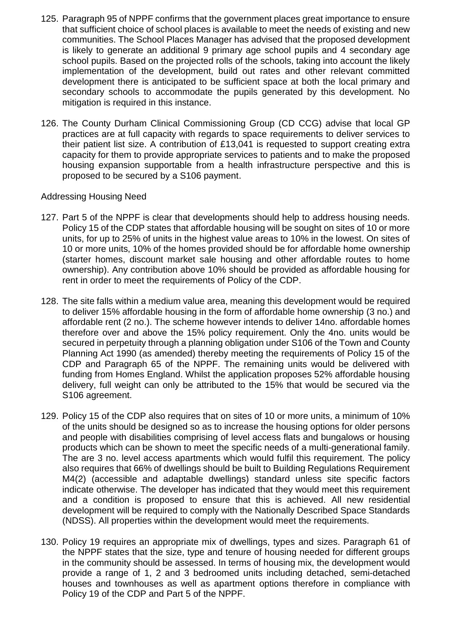- 125. Paragraph 95 of NPPF confirms that the government places great importance to ensure that sufficient choice of school places is available to meet the needs of existing and new communities. The School Places Manager has advised that the proposed development is likely to generate an additional 9 primary age school pupils and 4 secondary age school pupils. Based on the projected rolls of the schools, taking into account the likely implementation of the development, build out rates and other relevant committed development there is anticipated to be sufficient space at both the local primary and secondary schools to accommodate the pupils generated by this development. No mitigation is required in this instance.
- 126. The County Durham Clinical Commissioning Group (CD CCG) advise that local GP practices are at full capacity with regards to space requirements to deliver services to their patient list size. A contribution of £13,041 is requested to support creating extra capacity for them to provide appropriate services to patients and to make the proposed housing expansion supportable from a health infrastructure perspective and this is proposed to be secured by a S106 payment.

#### Addressing Housing Need

- 127. Part 5 of the NPPF is clear that developments should help to address housing needs. Policy 15 of the CDP states that affordable housing will be sought on sites of 10 or more units, for up to 25% of units in the highest value areas to 10% in the lowest. On sites of 10 or more units, 10% of the homes provided should be for affordable home ownership (starter homes, discount market sale housing and other affordable routes to home ownership). Any contribution above 10% should be provided as affordable housing for rent in order to meet the requirements of Policy of the CDP.
- 128. The site falls within a medium value area, meaning this development would be required to deliver 15% affordable housing in the form of affordable home ownership (3 no.) and affordable rent (2 no.). The scheme however intends to deliver 14no. affordable homes therefore over and above the 15% policy requirement. Only the 4no. units would be secured in perpetuity through a planning obligation under S106 of the Town and County Planning Act 1990 (as amended) thereby meeting the requirements of Policy 15 of the CDP and Paragraph 65 of the NPPF. The remaining units would be delivered with funding from Homes England. Whilst the application proposes 52% affordable housing delivery, full weight can only be attributed to the 15% that would be secured via the S106 agreement.
- 129. Policy 15 of the CDP also requires that on sites of 10 or more units, a minimum of 10% of the units should be designed so as to increase the housing options for older persons and people with disabilities comprising of level access flats and bungalows or housing products which can be shown to meet the specific needs of a multi-generational family. The are 3 no. level access apartments which would fulfil this requirement. The policy also requires that 66% of dwellings should be built to Building Regulations Requirement M4(2) (accessible and adaptable dwellings) standard unless site specific factors indicate otherwise. The developer has indicated that they would meet this requirement and a condition is proposed to ensure that this is achieved. All new residential development will be required to comply with the Nationally Described Space Standards (NDSS). All properties within the development would meet the requirements.
- 130. Policy 19 requires an appropriate mix of dwellings, types and sizes. Paragraph 61 of the NPPF states that the size, type and tenure of housing needed for different groups in the community should be assessed. In terms of housing mix, the development would provide a range of 1, 2 and 3 bedroomed units including detached, semi-detached houses and townhouses as well as apartment options therefore in compliance with Policy 19 of the CDP and Part 5 of the NPPF.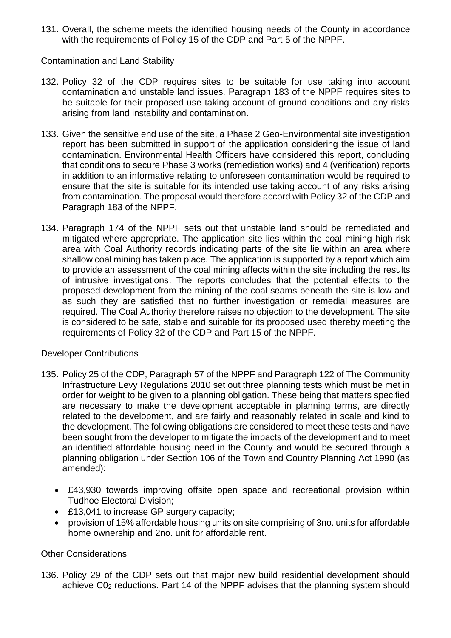131. Overall, the scheme meets the identified housing needs of the County in accordance with the requirements of Policy 15 of the CDP and Part 5 of the NPPF.

#### Contamination and Land Stability

- 132. Policy 32 of the CDP requires sites to be suitable for use taking into account contamination and unstable land issues. Paragraph 183 of the NPPF requires sites to be suitable for their proposed use taking account of ground conditions and any risks arising from land instability and contamination.
- 133. Given the sensitive end use of the site, a Phase 2 Geo-Environmental site investigation report has been submitted in support of the application considering the issue of land contamination. Environmental Health Officers have considered this report, concluding that conditions to secure Phase 3 works (remediation works) and 4 (verification) reports in addition to an informative relating to unforeseen contamination would be required to ensure that the site is suitable for its intended use taking account of any risks arising from contamination. The proposal would therefore accord with Policy 32 of the CDP and Paragraph 183 of the NPPF.
- 134. Paragraph 174 of the NPPF sets out that unstable land should be remediated and mitigated where appropriate. The application site lies within the coal mining high risk area with Coal Authority records indicating parts of the site lie within an area where shallow coal mining has taken place. The application is supported by a report which aim to provide an assessment of the coal mining affects within the site including the results of intrusive investigations. The reports concludes that the potential effects to the proposed development from the mining of the coal seams beneath the site is low and as such they are satisfied that no further investigation or remedial measures are required. The Coal Authority therefore raises no objection to the development. The site is considered to be safe, stable and suitable for its proposed used thereby meeting the requirements of Policy 32 of the CDP and Part 15 of the NPPF.

#### Developer Contributions

- 135. Policy 25 of the CDP, Paragraph 57 of the NPPF and Paragraph 122 of The Community Infrastructure Levy Regulations 2010 set out three planning tests which must be met in order for weight to be given to a planning obligation. These being that matters specified are necessary to make the development acceptable in planning terms, are directly related to the development, and are fairly and reasonably related in scale and kind to the development. The following obligations are considered to meet these tests and have been sought from the developer to mitigate the impacts of the development and to meet an identified affordable housing need in the County and would be secured through a planning obligation under Section 106 of the Town and Country Planning Act 1990 (as amended):
	- £43,930 towards improving offsite open space and recreational provision within Tudhoe Electoral Division;
	- £13,041 to increase GP surgery capacity;
	- provision of 15% affordable housing units on site comprising of 3no. units for affordable home ownership and 2no. unit for affordable rent.

#### Other Considerations

136. Policy 29 of the CDP sets out that major new build residential development should achieve C0<sup>2</sup> reductions. Part 14 of the NPPF advises that the planning system should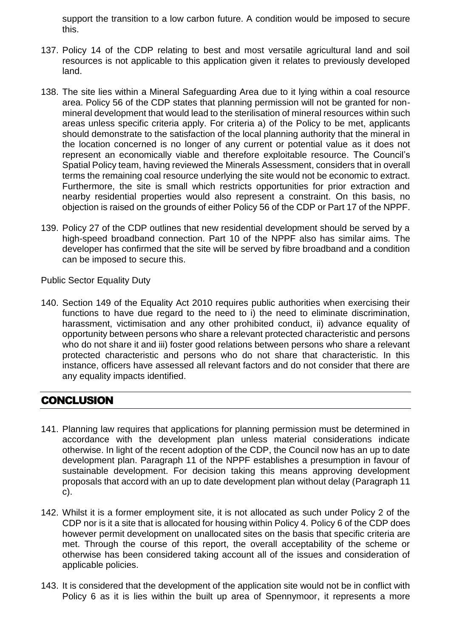support the transition to a low carbon future. A condition would be imposed to secure this.

- 137. Policy 14 of the CDP relating to best and most versatile agricultural land and soil resources is not applicable to this application given it relates to previously developed land.
- 138. The site lies within a Mineral Safeguarding Area due to it lying within a coal resource area. Policy 56 of the CDP states that planning permission will not be granted for nonmineral development that would lead to the sterilisation of mineral resources within such areas unless specific criteria apply. For criteria a) of the Policy to be met, applicants should demonstrate to the satisfaction of the local planning authority that the mineral in the location concerned is no longer of any current or potential value as it does not represent an economically viable and therefore exploitable resource. The Council's Spatial Policy team, having reviewed the Minerals Assessment, considers that in overall terms the remaining coal resource underlying the site would not be economic to extract. Furthermore, the site is small which restricts opportunities for prior extraction and nearby residential properties would also represent a constraint. On this basis, no objection is raised on the grounds of either Policy 56 of the CDP or Part 17 of the NPPF.
- 139. Policy 27 of the CDP outlines that new residential development should be served by a high-speed broadband connection. Part 10 of the NPPF also has similar aims. The developer has confirmed that the site will be served by fibre broadband and a condition can be imposed to secure this.

Public Sector Equality Duty

140. Section 149 of the Equality Act 2010 requires public authorities when exercising their functions to have due regard to the need to i) the need to eliminate discrimination, harassment, victimisation and any other prohibited conduct, ii) advance equality of opportunity between persons who share a relevant protected characteristic and persons who do not share it and iii) foster good relations between persons who share a relevant protected characteristic and persons who do not share that characteristic. In this instance, officers have assessed all relevant factors and do not consider that there are any equality impacts identified.

# **CONCLUSION**

- 141. Planning law requires that applications for planning permission must be determined in accordance with the development plan unless material considerations indicate otherwise. In light of the recent adoption of the CDP, the Council now has an up to date development plan. Paragraph 11 of the NPPF establishes a presumption in favour of sustainable development. For decision taking this means approving development proposals that accord with an up to date development plan without delay (Paragraph 11 c).
- 142. Whilst it is a former employment site, it is not allocated as such under Policy 2 of the CDP nor is it a site that is allocated for housing within Policy 4. Policy 6 of the CDP does however permit development on unallocated sites on the basis that specific criteria are met. Through the course of this report, the overall acceptability of the scheme or otherwise has been considered taking account all of the issues and consideration of applicable policies.
- 143. It is considered that the development of the application site would not be in conflict with Policy 6 as it is lies within the built up area of Spennymoor, it represents a more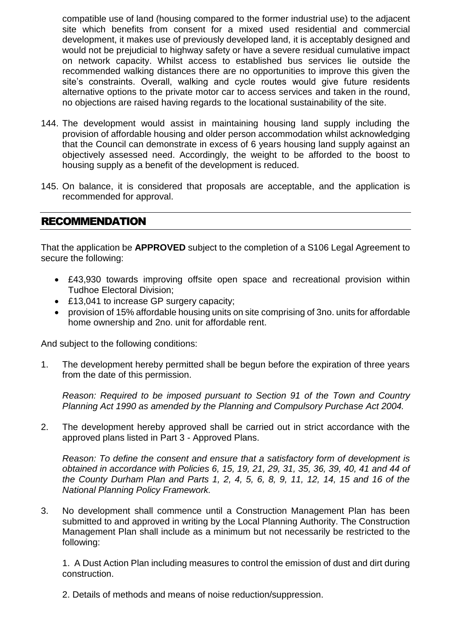compatible use of land (housing compared to the former industrial use) to the adjacent site which benefits from consent for a mixed used residential and commercial development, it makes use of previously developed land, it is acceptably designed and would not be prejudicial to highway safety or have a severe residual cumulative impact on network capacity. Whilst access to established bus services lie outside the recommended walking distances there are no opportunities to improve this given the site's constraints. Overall, walking and cycle routes would give future residents alternative options to the private motor car to access services and taken in the round, no objections are raised having regards to the locational sustainability of the site.

- 144. The development would assist in maintaining housing land supply including the provision of affordable housing and older person accommodation whilst acknowledging that the Council can demonstrate in excess of 6 years housing land supply against an objectively assessed need. Accordingly, the weight to be afforded to the boost to housing supply as a benefit of the development is reduced.
- 145. On balance, it is considered that proposals are acceptable, and the application is recommended for approval.

### RECOMMENDATION

That the application be **APPROVED** subject to the completion of a S106 Legal Agreement to secure the following:

- £43,930 towards improving offsite open space and recreational provision within Tudhoe Electoral Division;
- £13,041 to increase GP surgery capacity;
- provision of 15% affordable housing units on site comprising of 3no. units for affordable home ownership and 2no. unit for affordable rent.

And subject to the following conditions:

1. The development hereby permitted shall be begun before the expiration of three years from the date of this permission.

*Reason: Required to be imposed pursuant to Section 91 of the Town and Country Planning Act 1990 as amended by the Planning and Compulsory Purchase Act 2004.*

2. The development hereby approved shall be carried out in strict accordance with the approved plans listed in Part 3 - Approved Plans.

*Reason: To define the consent and ensure that a satisfactory form of development is obtained in accordance with Policies 6, 15, 19, 21, 29, 31, 35, 36, 39, 40, 41 and 44 of the County Durham Plan and Parts 1, 2, 4, 5, 6, 8, 9, 11, 12, 14, 15 and 16 of the National Planning Policy Framework.*

3. No development shall commence until a Construction Management Plan has been submitted to and approved in writing by the Local Planning Authority. The Construction Management Plan shall include as a minimum but not necessarily be restricted to the following:

1. A Dust Action Plan including measures to control the emission of dust and dirt during construction.

2. Details of methods and means of noise reduction/suppression.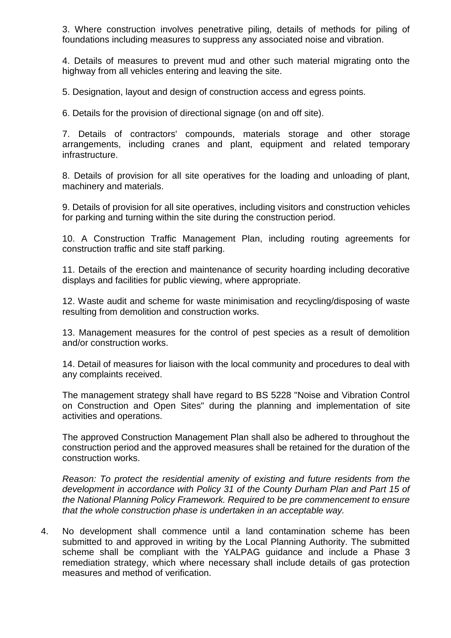3. Where construction involves penetrative piling, details of methods for piling of foundations including measures to suppress any associated noise and vibration.

4. Details of measures to prevent mud and other such material migrating onto the highway from all vehicles entering and leaving the site.

5. Designation, layout and design of construction access and egress points.

6. Details for the provision of directional signage (on and off site).

7. Details of contractors' compounds, materials storage and other storage arrangements, including cranes and plant, equipment and related temporary infrastructure.

8. Details of provision for all site operatives for the loading and unloading of plant, machinery and materials.

9. Details of provision for all site operatives, including visitors and construction vehicles for parking and turning within the site during the construction period.

10. A Construction Traffic Management Plan, including routing agreements for construction traffic and site staff parking.

11. Details of the erection and maintenance of security hoarding including decorative displays and facilities for public viewing, where appropriate.

12. Waste audit and scheme for waste minimisation and recycling/disposing of waste resulting from demolition and construction works.

13. Management measures for the control of pest species as a result of demolition and/or construction works.

14. Detail of measures for liaison with the local community and procedures to deal with any complaints received.

The management strategy shall have regard to BS 5228 "Noise and Vibration Control on Construction and Open Sites" during the planning and implementation of site activities and operations.

The approved Construction Management Plan shall also be adhered to throughout the construction period and the approved measures shall be retained for the duration of the construction works.

*Reason: To protect the residential amenity of existing and future residents from the development in accordance with Policy 31 of the County Durham Plan and Part 15 of the National Planning Policy Framework. Required to be pre commencement to ensure that the whole construction phase is undertaken in an acceptable way.*

4. No development shall commence until a land contamination scheme has been submitted to and approved in writing by the Local Planning Authority. The submitted scheme shall be compliant with the YALPAG guidance and include a Phase 3 remediation strategy, which where necessary shall include details of gas protection measures and method of verification.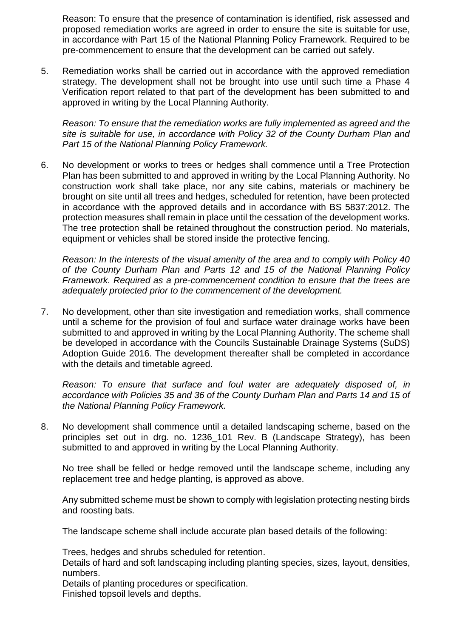Reason: To ensure that the presence of contamination is identified, risk assessed and proposed remediation works are agreed in order to ensure the site is suitable for use, in accordance with Part 15 of the National Planning Policy Framework. Required to be pre-commencement to ensure that the development can be carried out safely.

5. Remediation works shall be carried out in accordance with the approved remediation strategy. The development shall not be brought into use until such time a Phase 4 Verification report related to that part of the development has been submitted to and approved in writing by the Local Planning Authority.

*Reason: To ensure that the remediation works are fully implemented as agreed and the site is suitable for use, in accordance with Policy 32 of the County Durham Plan and Part 15 of the National Planning Policy Framework.*

6. No development or works to trees or hedges shall commence until a Tree Protection Plan has been submitted to and approved in writing by the Local Planning Authority. No construction work shall take place, nor any site cabins, materials or machinery be brought on site until all trees and hedges, scheduled for retention, have been protected in accordance with the approved details and in accordance with BS 5837:2012. The protection measures shall remain in place until the cessation of the development works. The tree protection shall be retained throughout the construction period. No materials, equipment or vehicles shall be stored inside the protective fencing.

*Reason: In the interests of the visual amenity of the area and to comply with Policy 40 of the County Durham Plan and Parts 12 and 15 of the National Planning Policy Framework. Required as a pre-commencement condition to ensure that the trees are adequately protected prior to the commencement of the development.*

7. No development, other than site investigation and remediation works, shall commence until a scheme for the provision of foul and surface water drainage works have been submitted to and approved in writing by the Local Planning Authority. The scheme shall be developed in accordance with the Councils Sustainable Drainage Systems (SuDS) Adoption Guide 2016. The development thereafter shall be completed in accordance with the details and timetable agreed.

*Reason: To ensure that surface and foul water are adequately disposed of, in accordance with Policies 35 and 36 of the County Durham Plan and Parts 14 and 15 of the National Planning Policy Framework.*

8. No development shall commence until a detailed landscaping scheme, based on the principles set out in drg. no. 1236\_101 Rev. B (Landscape Strategy), has been submitted to and approved in writing by the Local Planning Authority.

No tree shall be felled or hedge removed until the landscape scheme, including any replacement tree and hedge planting, is approved as above.

Any submitted scheme must be shown to comply with legislation protecting nesting birds and roosting bats.

The landscape scheme shall include accurate plan based details of the following:

Trees, hedges and shrubs scheduled for retention.

Details of hard and soft landscaping including planting species, sizes, layout, densities, numbers.

Details of planting procedures or specification. Finished topsoil levels and depths.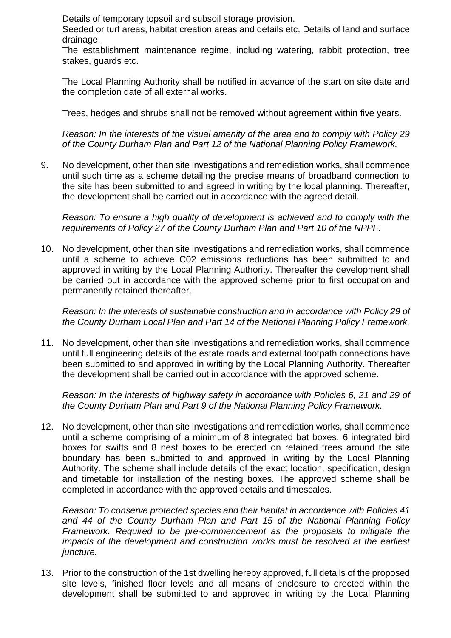Details of temporary topsoil and subsoil storage provision.

Seeded or turf areas, habitat creation areas and details etc. Details of land and surface drainage.

The establishment maintenance regime, including watering, rabbit protection, tree stakes, guards etc.

The Local Planning Authority shall be notified in advance of the start on site date and the completion date of all external works.

Trees, hedges and shrubs shall not be removed without agreement within five years.

*Reason: In the interests of the visual amenity of the area and to comply with Policy 29 of the County Durham Plan and Part 12 of the National Planning Policy Framework.*

9. No development, other than site investigations and remediation works, shall commence until such time as a scheme detailing the precise means of broadband connection to the site has been submitted to and agreed in writing by the local planning. Thereafter, the development shall be carried out in accordance with the agreed detail.

*Reason: To ensure a high quality of development is achieved and to comply with the requirements of Policy 27 of the County Durham Plan and Part 10 of the NPPF.*

10. No development, other than site investigations and remediation works, shall commence until a scheme to achieve C02 emissions reductions has been submitted to and approved in writing by the Local Planning Authority. Thereafter the development shall be carried out in accordance with the approved scheme prior to first occupation and permanently retained thereafter.

*Reason: In the interests of sustainable construction and in accordance with Policy 29 of the County Durham Local Plan and Part 14 of the National Planning Policy Framework.* 

11. No development, other than site investigations and remediation works, shall commence until full engineering details of the estate roads and external footpath connections have been submitted to and approved in writing by the Local Planning Authority. Thereafter the development shall be carried out in accordance with the approved scheme.

*Reason: In the interests of highway safety in accordance with Policies 6, 21 and 29 of the County Durham Plan and Part 9 of the National Planning Policy Framework.* 

12. No development, other than site investigations and remediation works, shall commence until a scheme comprising of a minimum of 8 integrated bat boxes, 6 integrated bird boxes for swifts and 8 nest boxes to be erected on retained trees around the site boundary has been submitted to and approved in writing by the Local Planning Authority. The scheme shall include details of the exact location, specification, design and timetable for installation of the nesting boxes. The approved scheme shall be completed in accordance with the approved details and timescales.

*Reason: To conserve protected species and their habitat in accordance with Policies 41 and 44 of the County Durham Plan and Part 15 of the National Planning Policy Framework. Required to be pre-commencement as the proposals to mitigate the impacts of the development and construction works must be resolved at the earliest juncture.*

13. Prior to the construction of the 1st dwelling hereby approved, full details of the proposed site levels, finished floor levels and all means of enclosure to erected within the development shall be submitted to and approved in writing by the Local Planning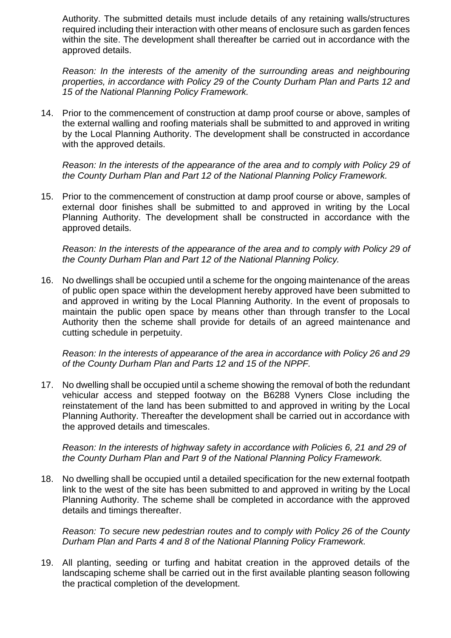Authority. The submitted details must include details of any retaining walls/structures required including their interaction with other means of enclosure such as garden fences within the site. The development shall thereafter be carried out in accordance with the approved details.

*Reason: In the interests of the amenity of the surrounding areas and neighbouring properties, in accordance with Policy 29 of the County Durham Plan and Parts 12 and 15 of the National Planning Policy Framework.*

14. Prior to the commencement of construction at damp proof course or above, samples of the external walling and roofing materials shall be submitted to and approved in writing by the Local Planning Authority. The development shall be constructed in accordance with the approved details.

*Reason: In the interests of the appearance of the area and to comply with Policy 29 of the County Durham Plan and Part 12 of the National Planning Policy Framework.*

15. Prior to the commencement of construction at damp proof course or above, samples of external door finishes shall be submitted to and approved in writing by the Local Planning Authority. The development shall be constructed in accordance with the approved details.

*Reason: In the interests of the appearance of the area and to comply with Policy 29 of the County Durham Plan and Part 12 of the National Planning Policy.*

16. No dwellings shall be occupied until a scheme for the ongoing maintenance of the areas of public open space within the development hereby approved have been submitted to and approved in writing by the Local Planning Authority. In the event of proposals to maintain the public open space by means other than through transfer to the Local Authority then the scheme shall provide for details of an agreed maintenance and cutting schedule in perpetuity.

*Reason: In the interests of appearance of the area in accordance with Policy 26 and 29 of the County Durham Plan and Parts 12 and 15 of the NPPF.*

17. No dwelling shall be occupied until a scheme showing the removal of both the redundant vehicular access and stepped footway on the B6288 Vyners Close including the reinstatement of the land has been submitted to and approved in writing by the Local Planning Authority. Thereafter the development shall be carried out in accordance with the approved details and timescales.

*Reason: In the interests of highway safety in accordance with Policies 6, 21 and 29 of the County Durham Plan and Part 9 of the National Planning Policy Framework.* 

18. No dwelling shall be occupied until a detailed specification for the new external footpath link to the west of the site has been submitted to and approved in writing by the Local Planning Authority. The scheme shall be completed in accordance with the approved details and timings thereafter.

*Reason: To secure new pedestrian routes and to comply with Policy 26 of the County Durham Plan and Parts 4 and 8 of the National Planning Policy Framework.*

19. All planting, seeding or turfing and habitat creation in the approved details of the landscaping scheme shall be carried out in the first available planting season following the practical completion of the development.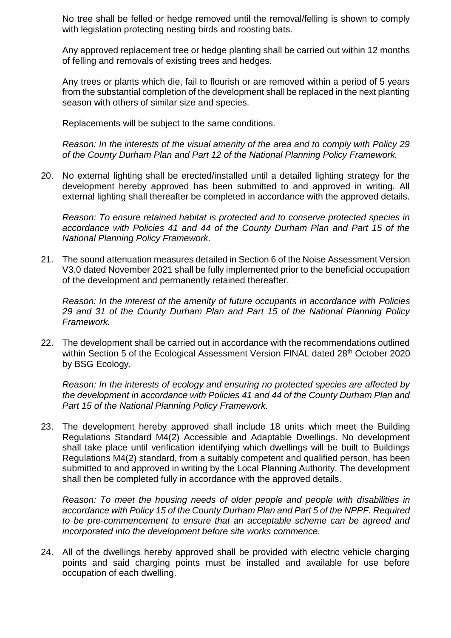No tree shall be felled or hedge removed until the removal/felling is shown to comply with legislation protecting nesting birds and roosting bats.

Any approved replacement tree or hedge planting shall be carried out within 12 months of felling and removals of existing trees and hedges.

Any trees or plants which die, fail to flourish or are removed within a period of 5 years from the substantial completion of the development shall be replaced in the next planting season with others of similar size and species.

Replacements will be subject to the same conditions.

*Reason: In the interests of the visual amenity of the area and to comply with Policy 29 of the County Durham Plan and Part 12 of the National Planning Policy Framework.*

20. No external lighting shall be erected/installed until a detailed lighting strategy for the development hereby approved has been submitted to and approved in writing. All external lighting shall thereafter be completed in accordance with the approved details.

*Reason: To ensure retained habitat is protected and to conserve protected species in accordance with Policies 41 and 44 of the County Durham Plan and Part 15 of the National Planning Policy Framework.*

21. The sound attenuation measures detailed in Section 6 of the Noise Assessment Version V3.0 dated November 2021 shall be fully implemented prior to the beneficial occupation of the development and permanently retained thereafter.

*Reason: In the interest of the amenity of future occupants in accordance with Policies 29 and 31 of the County Durham Plan and Part 15 of the National Planning Policy Framework.*

22. The development shall be carried out in accordance with the recommendations outlined within Section 5 of the Ecological Assessment Version FINAL dated 28<sup>th</sup> October 2020 by BSG Ecology.

*Reason: In the interests of ecology and ensuring no protected species are affected by the development in accordance with Policies 41 and 44 of the County Durham Plan and Part 15 of the National Planning Policy Framework.*

23. The development hereby approved shall include 18 units which meet the Building Regulations Standard M4(2) Accessible and Adaptable Dwellings. No development shall take place until verification identifying which dwellings will be built to Buildings Regulations M4(2) standard, from a suitably competent and qualified person, has been submitted to and approved in writing by the Local Planning Authority. The development shall then be completed fully in accordance with the approved details.

*Reason: To meet the housing needs of older people and people with disabilities in accordance with Policy 15 of the County Durham Plan and Part 5 of the NPPF. Required to be pre-commencement to ensure that an acceptable scheme can be agreed and incorporated into the development before site works commence.*

24. All of the dwellings hereby approved shall be provided with electric vehicle charging points and said charging points must be installed and available for use before occupation of each dwelling.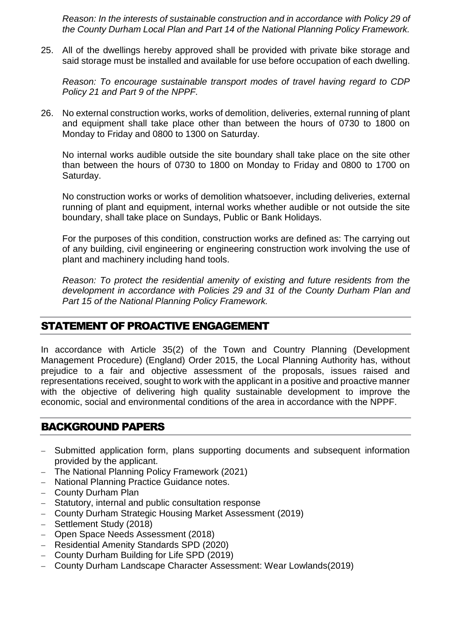*Reason: In the interests of sustainable construction and in accordance with Policy 29 of the County Durham Local Plan and Part 14 of the National Planning Policy Framework.*

25. All of the dwellings hereby approved shall be provided with private bike storage and said storage must be installed and available for use before occupation of each dwelling.

*Reason: To encourage sustainable transport modes of travel having regard to CDP Policy 21 and Part 9 of the NPPF.*

26. No external construction works, works of demolition, deliveries, external running of plant and equipment shall take place other than between the hours of 0730 to 1800 on Monday to Friday and 0800 to 1300 on Saturday.

No internal works audible outside the site boundary shall take place on the site other than between the hours of 0730 to 1800 on Monday to Friday and 0800 to 1700 on Saturday.

No construction works or works of demolition whatsoever, including deliveries, external running of plant and equipment, internal works whether audible or not outside the site boundary, shall take place on Sundays, Public or Bank Holidays.

For the purposes of this condition, construction works are defined as: The carrying out of any building, civil engineering or engineering construction work involving the use of plant and machinery including hand tools.

*Reason: To protect the residential amenity of existing and future residents from the development in accordance with Policies 29 and 31 of the County Durham Plan and Part 15 of the National Planning Policy Framework.*

# STATEMENT OF PROACTIVE ENGAGEMENT

In accordance with Article 35(2) of the Town and Country Planning (Development Management Procedure) (England) Order 2015, the Local Planning Authority has, without prejudice to a fair and objective assessment of the proposals, issues raised and representations received, sought to work with the applicant in a positive and proactive manner with the objective of delivering high quality sustainable development to improve the economic, social and environmental conditions of the area in accordance with the NPPF.

# BACKGROUND PAPERS

- Submitted application form, plans supporting documents and subsequent information provided by the applicant.
- The National Planning Policy Framework (2021)
- National Planning Practice Guidance notes.
- County Durham Plan
- Statutory, internal and public consultation response
- County Durham Strategic Housing Market Assessment (2019)
- Settlement Study (2018)
- Open Space Needs Assessment (2018)
- Residential Amenity Standards SPD (2020)
- County Durham Building for Life SPD (2019)
- County Durham Landscape Character Assessment: Wear Lowlands(2019)